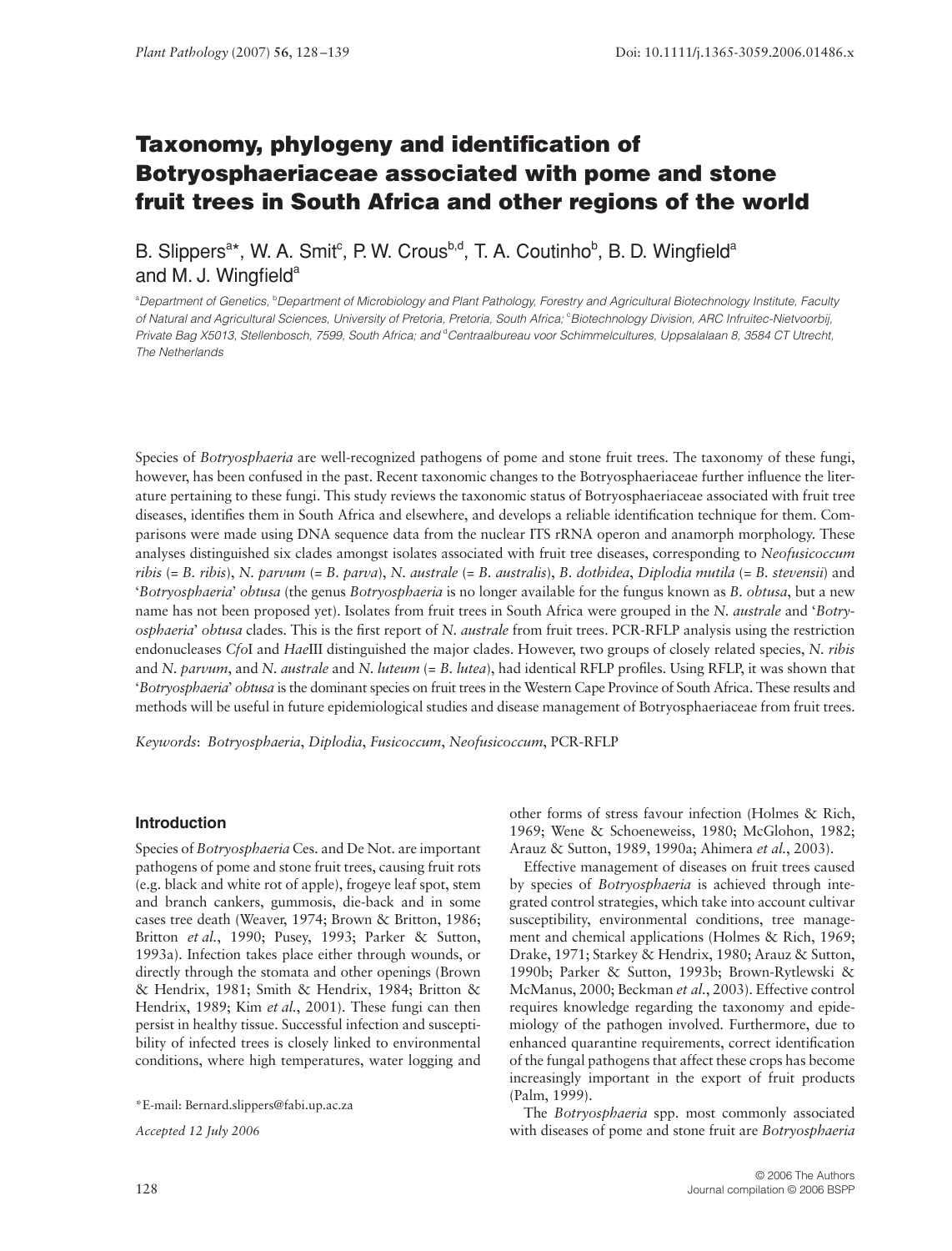# **Taxonomy, phylogeny and identification of Botryosphaeriaceae associated with pome and stone fruit trees in South Africa and other regions of the world**

B. Slippers<sup>a\*</sup>, W. A. Smit<sup>c</sup>, P. W. Crous<sup>b,d</sup>, T. A. Coutinho<sup>b</sup>, B. D. Wingfield<sup>a</sup> and M. J. Wingfield<sup>a</sup>

a *Department of Genetics,* <sup>b</sup> *Department of Microbiology and Plant Pathology, Forestry and Agricultural Biotechnology Institute, Faculty*  of Natural and Agricultural Sciences, University of Pretoria, Pretoria, South Africa; <sup>c</sup>Biotechnology Division, ARC Infruitec-Nietvoorbij, Private Bag X5013, Stellenbosch, 7599, South Africa; and <sup>d</sup>Centraalbureau voor Schimmelcultures, Uppsalalaan 8, 3584 CT Utrecht, *The Netherlands* 

Species of *Botryosphaeria* are well-recognized pathogens of pome and stone fruit trees. The taxonomy of these fungi, however, has been confused in the past. Recent taxonomic changes to the Botryosphaeriaceae further influence the literature pertaining to these fungi. This study reviews the taxonomic status of Botryosphaeriaceae associated with fruit tree diseases, identifies them in South Africa and elsewhere, and develops a reliable identification technique for them. Comparisons were made using DNA sequence data from the nuclear ITS rRNA operon and anamorph morphology. These analyses distinguished six clades amongst isolates associated with fruit tree diseases, corresponding to *Neofusicoccum ribis* (= *B. ribis*), *N. parvum* (= *B. parva*), *N. australe* (= *B. australis*), *B. dothidea*, *Diplodia mutila* (= *B. stevensii*) and '*Botryosphaeria*' *obtusa* (the genus *Botryosphaeria* is no longer available for the fungus known as *B. obtusa*, but a new name has not been proposed yet). Isolates from fruit trees in South Africa were grouped in the *N. australe* and '*Botryosphaeria*' *obtusa* clades. This is the first report of *N. australe* from fruit trees. PCR-RFLP analysis using the restriction endonucleases *Cfo*I and *Hae*III distinguished the major clades. However, two groups of closely related species, *N. ribis* and *N. parvum*, and *N. australe* and *N. luteum* (= *B. lutea*), had identical RFLP profiles. Using RFLP, it was shown that '*Botryosphaeria*' *obtusa* is the dominant species on fruit trees in the Western Cape Province of South Africa. These results and methods will be useful in future epidemiological studies and disease management of Botryosphaeriaceae from fruit trees.

*Keywords*: *Botryosphaeria*, *Diplodia*, *Fusicoccum*, *Neofusicoccum*, PCR-RFLP

# **Introduction**

Species of *Botryosphaeria* Ces. and De Not. are important pathogens of pome and stone fruit trees, causing fruit rots (e.g. black and white rot of apple), frogeye leaf spot, stem and branch cankers, gummosis, die-back and in some cases tree death (Weaver, 1974; Brown & Britton, 1986; Britton *et al.*, 1990; Pusey, 1993; Parker & Sutton, 1993a). Infection takes place either through wounds, or directly through the stomata and other openings (Brown & Hendrix, 1981; Smith & Hendrix, 1984; Britton & Hendrix, 1989; Kim *et al.*, 2001). These fungi can then persist in healthy tissue. Successful infection and susceptibility of infected trees is closely linked to environmental conditions, where high temperatures, water logging and

\*E-mail: Bernard.slippers@fabi.up.ac.za

*Accepted 12 July 2006*

other forms of stress favour infection (Holmes & Rich, 1969; Wene & Schoeneweiss, 1980; McGlohon, 1982; Arauz & Sutton, 1989, 1990a; Ahimera *et al.*, 2003).

Effective management of diseases on fruit trees caused by species of *Botryosphaeria* is achieved through integrated control strategies, which take into account cultivar susceptibility, environmental conditions, tree management and chemical applications (Holmes & Rich, 1969; Drake, 1971; Starkey & Hendrix, 1980; Arauz & Sutton, 1990b; Parker & Sutton, 1993b; Brown-Rytlewski & McManus, 2000; Beckman *et al.*, 2003). Effective control requires knowledge regarding the taxonomy and epidemiology of the pathogen involved. Furthermore, due to enhanced quarantine requirements, correct identification of the fungal pathogens that affect these crops has become increasingly important in the export of fruit products (Palm, 1999).

The *Botryosphaeria* spp. most commonly associated with diseases of pome and stone fruit are *Botryosphaeria*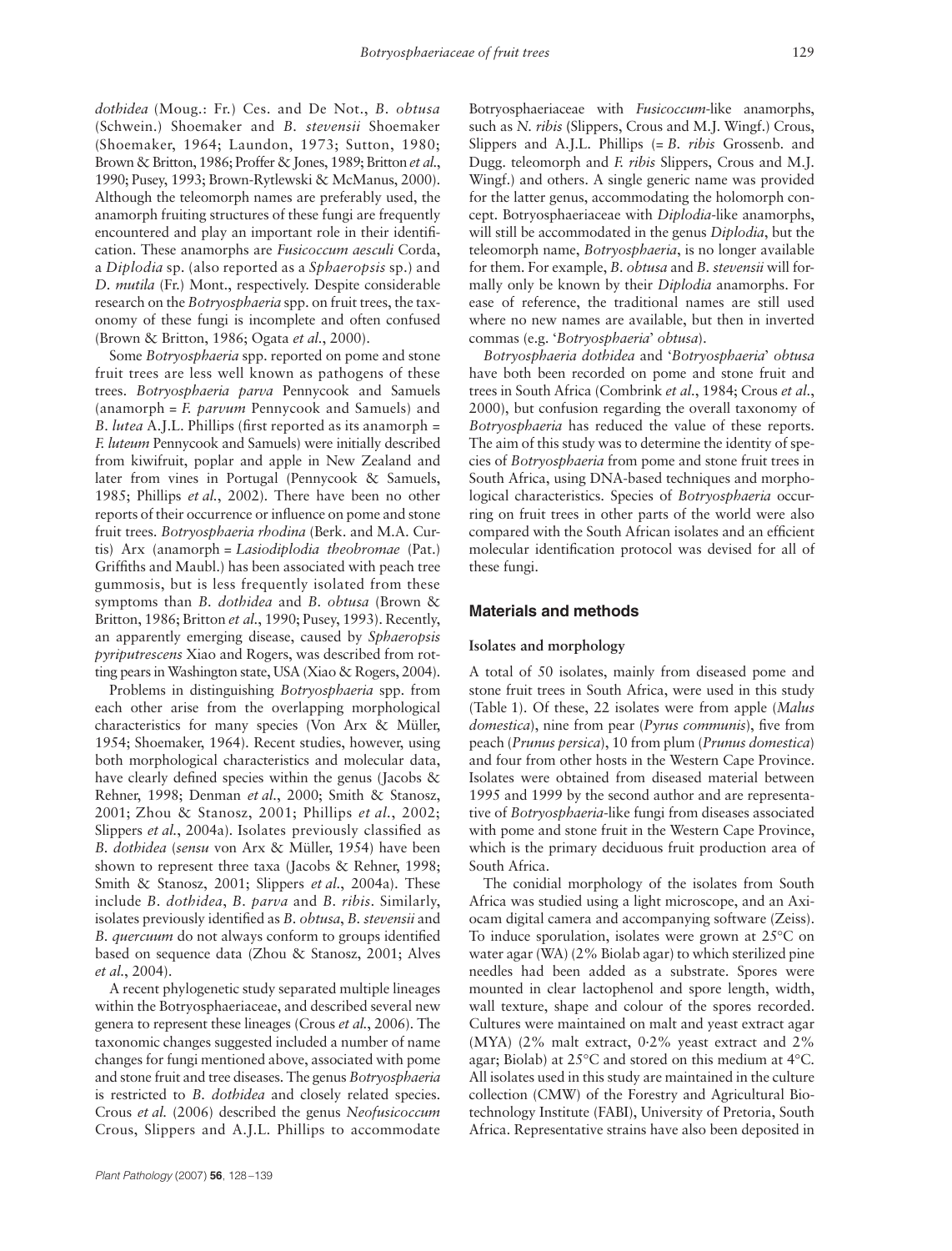*dothidea* (Moug.: Fr.) Ces. and De Not., *B. obtusa* (Schwein.) Shoemaker and *B. stevensii* Shoemaker (Shoemaker, 1964; Laundon, 1973; Sutton, 1980; Brown & Britton, 1986; Proffer & Jones, 1989; Britton *et al.*, 1990; Pusey, 1993; Brown-Rytlewski & McManus, 2000). Although the teleomorph names are preferably used, the anamorph fruiting structures of these fungi are frequently encountered and play an important role in their identification. These anamorphs are *Fusicoccum aesculi* Corda, a *Diplodia* sp. (also reported as a *Sphaeropsis* sp.) and *D. mutila* (Fr.) Mont., respectively. Despite considerable research on the *Botryosphaeria* spp. on fruit trees, the taxonomy of these fungi is incomplete and often confused (Brown & Britton, 1986; Ogata *et al.*, 2000).

Some *Botryosphaeria* spp. reported on pome and stone fruit trees are less well known as pathogens of these trees. *Botryosphaeria parva* Pennycook and Samuels (anamorph = *F. parvum* Pennycook and Samuels) and *B. lutea* A.J.L. Phillips (first reported as its anamorph = *F. luteum* Pennycook and Samuels) were initially described from kiwifruit, poplar and apple in New Zealand and later from vines in Portugal (Pennycook & Samuels, 1985; Phillips *et al.*, 2002). There have been no other reports of their occurrence or influence on pome and stone fruit trees. *Botryosphaeria rhodina* (Berk. and M.A. Curtis) Arx (anamorph = *Lasiodiplodia theobromae* (Pat.) Griffiths and Maubl.) has been associated with peach tree gummosis, but is less frequently isolated from these symptoms than *B. dothidea* and *B. obtusa* (Brown & Britton, 1986; Britton *et al.*, 1990; Pusey, 1993). Recently, an apparently emerging disease, caused by *Sphaeropsis pyriputrescens* Xiao and Rogers, was described from rotting pears in Washington state, USA (Xiao & Rogers, 2004).

Problems in distinguishing *Botryosphaeria* spp. from each other arise from the overlapping morphological characteristics for many species (Von Arx & Müller, 1954; Shoemaker, 1964). Recent studies, however, using both morphological characteristics and molecular data, have clearly defined species within the genus (Jacobs & Rehner, 1998; Denman *et al.*, 2000; Smith & Stanosz, 2001; Zhou & Stanosz, 2001; Phillips *et al.*, 2002; Slippers *et al.*, 2004a). Isolates previously classified as *B. dothidea* (*sensu* von Arx & Müller, 1954) have been shown to represent three taxa (Jacobs & Rehner, 1998; Smith & Stanosz, 2001; Slippers *et al.*, 2004a). These include *B. dothidea*, *B. parva* and *B. ribis*. Similarly, isolates previously identified as *B. obtusa*, *B. stevensii* and *B. quercuum* do not always conform to groups identified based on sequence data (Zhou & Stanosz, 2001; Alves *et al.*, 2004).

A recent phylogenetic study separated multiple lineages within the Botryosphaeriaceae, and described several new genera to represent these lineages (Crous *et al.*, 2006). The taxonomic changes suggested included a number of name changes for fungi mentioned above, associated with pome and stone fruit and tree diseases. The genus *Botryosphaeria* is restricted to *B. dothidea* and closely related species. Crous *et al.* (2006) described the genus *Neofusicoccum* Crous, Slippers and A.J.L. Phillips to accommodate

*Plant Pathology* (2007) **56**, 128 –139

Botryosphaeriaceae with *Fusicoccum*-like anamorphs, such as *N. ribis* **(**Slippers, Crous and M.J. Wingf.) Crous, Slippers and A.J.L. Phillips (= *B. ribis* Grossenb. and Dugg. teleomorph and *F. ribis* Slippers, Crous and M.J. Wingf.) and others. A single generic name was provided for the latter genus, accommodating the holomorph concept. Botryosphaeriaceae with *Diplodia*-like anamorphs, will still be accommodated in the genus *Diplodia*, but the teleomorph name, *Botryosphaeria*, is no longer available for them. For example, *B. obtusa* and *B. stevensii* will formally only be known by their *Diplodia* anamorphs. For ease of reference, the traditional names are still used where no new names are available, but then in inverted commas (e.g. '*Botryosphaeria*' *obtusa*).

*Botryosphaeria dothidea* and '*Botryosphaeria*' *obtusa* have both been recorded on pome and stone fruit and trees in South Africa (Combrink *et al.*, 1984; Crous *et al.*, 2000), but confusion regarding the overall taxonomy of *Botryosphaeria* has reduced the value of these reports. The aim of this study was to determine the identity of species of *Botryosphaeria* from pome and stone fruit trees in South Africa, using DNA-based techniques and morphological characteristics. Species of *Botryosphaeria* occurring on fruit trees in other parts of the world were also compared with the South African isolates and an efficient molecular identification protocol was devised for all of these fungi.

#### **Materials and methods**

#### **Isolates and morphology**

A total of 50 isolates, mainly from diseased pome and stone fruit trees in South Africa, were used in this study (Table 1). Of these, 22 isolates were from apple (*Malus domestica*), nine from pear (*Pyrus communis*), five from peach (*Prunus persica*), 10 from plum (*Prunus domestica*) and four from other hosts in the Western Cape Province. Isolates were obtained from diseased material between 1995 and 1999 by the second author and are representative of *Botryosphaeria*-like fungi from diseases associated with pome and stone fruit in the Western Cape Province, which is the primary deciduous fruit production area of South Africa.

The conidial morphology of the isolates from South Africa was studied using a light microscope, and an Axiocam digital camera and accompanying software (Zeiss). To induce sporulation, isolates were grown at 25°C on water agar (WA) (2% Biolab agar) to which sterilized pine needles had been added as a substrate. Spores were mounted in clear lactophenol and spore length, width, wall texture, shape and colour of the spores recorded. Cultures were maintained on malt and yeast extract agar (MYA) (2% malt extract, 0·2% yeast extract and 2% agar; Biolab) at 25°C and stored on this medium at 4°C. All isolates used in this study are maintained in the culture collection (CMW) of the Forestry and Agricultural Biotechnology Institute (FABI), University of Pretoria, South Africa. Representative strains have also been deposited in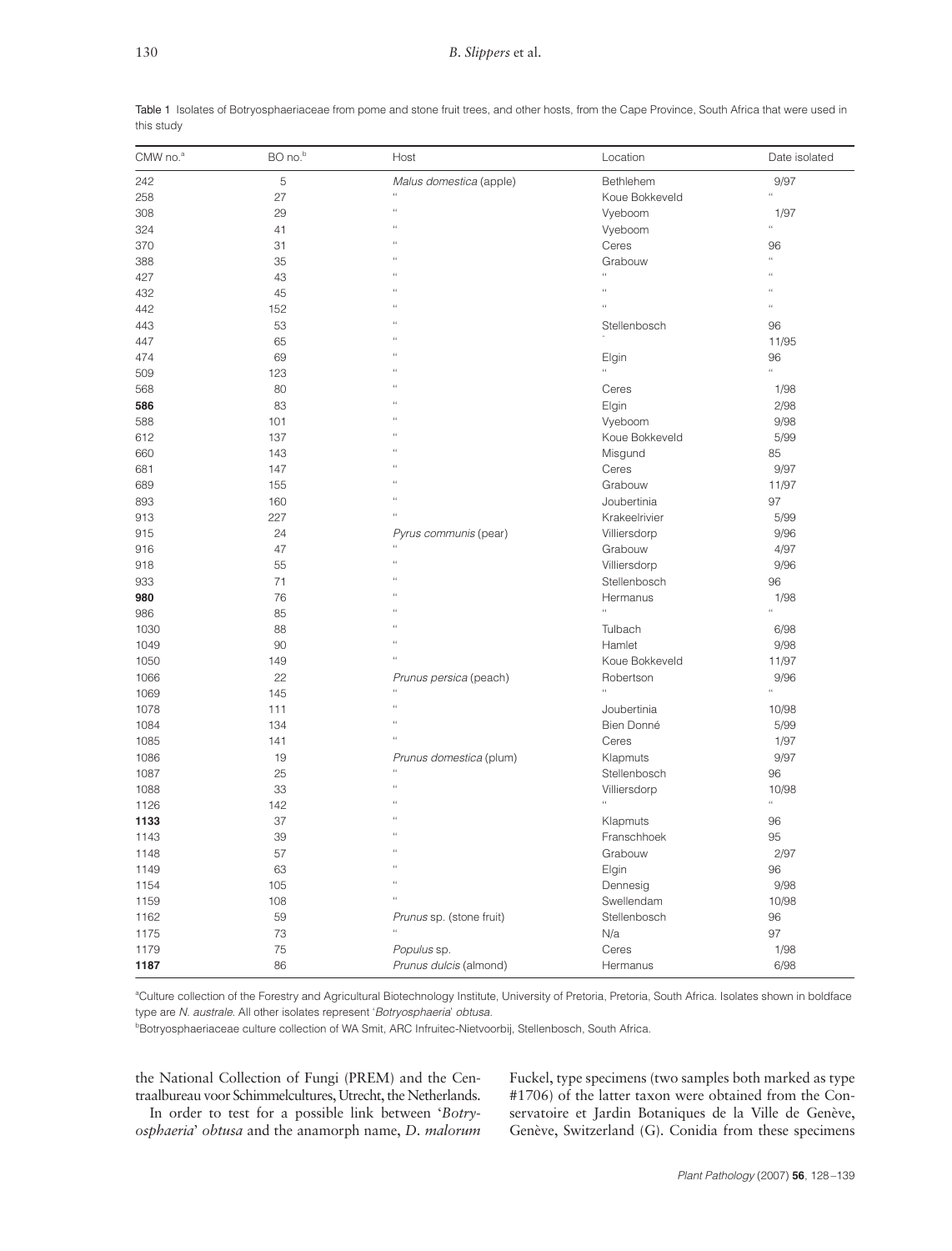| CMW no. <sup>a</sup> | BO no. <sup>b</sup> | Host                                | Location                     | Date isolated              |  |
|----------------------|---------------------|-------------------------------------|------------------------------|----------------------------|--|
| 242                  | $\mathbf 5$         | Malus domestica (apple)             | Bethlehem                    | 9/97                       |  |
| 258                  | 27                  | $\epsilon$                          | Koue Bokkeveld               | $\alpha$                   |  |
| 308                  | 29                  | $\alpha$                            | Vyeboom                      | 1/97                       |  |
| 324                  | 41                  | ċ.                                  | Vyeboom                      | $\mathfrak{c}$             |  |
| 370                  | 31                  | Ġ.                                  | Ceres                        | 96                         |  |
| 388                  | 35                  | $\alpha$                            | Grabouw                      | $\alpha$                   |  |
| 427                  | 43                  | s s                                 | $\alpha$                     | $\alpha$                   |  |
| 432                  | 45                  | Ġ.                                  | ä.                           | $\alpha$                   |  |
| 442                  | 152                 | ä                                   | ä.                           | $\mathfrak{c}$             |  |
| 443                  | 53                  | s s                                 | Stellenbosch                 | 96                         |  |
| 447                  | 65                  | Ġ.                                  |                              | 11/95                      |  |
| 474                  | 69                  | ¢¢                                  | Elgin                        | 96                         |  |
| 509                  | 123                 | Ġ.                                  | $\mathfrak{c}$               | $\mathfrak{c}\mathfrak{c}$ |  |
| 568                  | 80                  | s s                                 | Ceres                        | 1/98                       |  |
| 586                  | 83                  | Ġ.                                  | Elgin                        | 2/98                       |  |
| 588                  | 101                 | s s                                 | Vyeboom                      | 9/98                       |  |
| 612                  | 137                 | ā                                   | Koue Bokkeveld               | 5/99                       |  |
| 660                  | 143                 | $\epsilon$                          | Misgund                      | 85                         |  |
| 681                  | 147                 | s s                                 | Ceres                        | 9/97                       |  |
| 689                  | 155                 | Ġ.                                  | Grabouw                      | 11/97                      |  |
| 893                  | 160                 | ċ,                                  | Joubertinia                  | 97                         |  |
| 913                  | 227                 | a                                   | Krakeelrivier                | 5/99                       |  |
| 915                  | 24                  | Pyrus communis (pear)               | Villiersdorp                 | 9/96                       |  |
|                      | 47                  | ı,                                  | Grabouw                      | 4/97                       |  |
| 916                  |                     | ä                                   |                              |                            |  |
| 918                  | 55<br>71            | s s                                 | Villiersdorp<br>Stellenbosch | 9/96<br>96                 |  |
| 933                  | 76                  | έ£,                                 |                              | 1/98                       |  |
| 980                  |                     | s s                                 | Hermanus<br>ò.               | $\epsilon$ $\epsilon$      |  |
| 986                  | 85<br>88            | ä                                   | Tulbach                      |                            |  |
| 1030                 |                     | $\alpha$                            |                              | 6/98                       |  |
| 1049                 | 90                  | $\alpha$                            | Hamlet                       | 9/98                       |  |
| 1050                 | 149                 |                                     | Koue Bokkeveld               | 11/97                      |  |
| 1066                 | 22                  | Prunus persica (peach)<br>Ġ,        | Robertson<br>$\alpha$        | 9/96<br>$\alpha$           |  |
| 1069                 | 145                 | $\alpha$                            |                              |                            |  |
| 1078                 | 111                 | $\Omega$                            | Joubertinia                  | 10/98                      |  |
| 1084                 | 134                 | $\alpha$                            | Bien Donné                   | 5/99                       |  |
| 1085                 | 141                 |                                     | Ceres                        | 1/97                       |  |
| 1086                 | 19                  | Prunus domestica (plum)<br>$\alpha$ | Klapmuts                     | 9/97                       |  |
| 1087                 | 25                  | Ġ.                                  | Stellenbosch                 | 96                         |  |
| 1088                 | 33                  | s s                                 | Villiersdorp<br>ò.           | 10/98                      |  |
| 1126                 | 142                 | ċ.                                  |                              | $\alpha$                   |  |
| 1133                 | 37                  | $\epsilon$                          | Klapmuts                     | 96                         |  |
| 1143                 | 39                  |                                     | Franschhoek                  | 95                         |  |
| 1148                 | 57                  | έ£,                                 | Grabouw                      | 2/97                       |  |
| 1149                 | 63                  | $\mathfrak{c}\,\mathfrak{c}$        | Elgin                        | 96                         |  |
| 1154                 | 105                 | a                                   | Dennesig                     | 9/98                       |  |
| 1159                 | 108                 | a                                   | Swellendam                   | 10/98                      |  |
| 1162                 | 59                  | Prunus sp. (stone fruit)            | Stellenbosch                 | 96                         |  |
| 1175                 | 73                  |                                     | N/a                          | 97                         |  |
| 1179                 | 75                  | Populus sp.                         | Ceres                        | 1/98                       |  |
| 1187                 | 86                  | Prunus dulcis (almond)              | Hermanus                     | 6/98                       |  |

Table 1 Isolates of Botryosphaeriaceae from pome and stone fruit trees, and other hosts, from the Cape Province, South Africa that were used in this study

<sup>a</sup>Culture collection of the Forestry and Agricultural Biotechnology Institute, University of Pretoria, Pretoria, South Africa. Isolates shown in boldface type are *N. australe*. All other isolates represent '*Botryosphaeria*' *obtusa.*

b Botryosphaeriaceae culture collection of WA Smit, ARC Infruitec-Nietvoorbij, Stellenbosch, South Africa.

the National Collection of Fungi (PREM) and the Centraalbureau voor Schimmelcultures, Utrecht, the Netherlands.

In order to test for a possible link between '*Botryosphaeria*' *obtusa* and the anamorph name, *D. malorum* Fuckel, type specimens (two samples both marked as type #1706) of the latter taxon were obtained from the Conservatoire et Jardin Botaniques de la Ville de Genève, Genève, Switzerland (G). Conidia from these specimens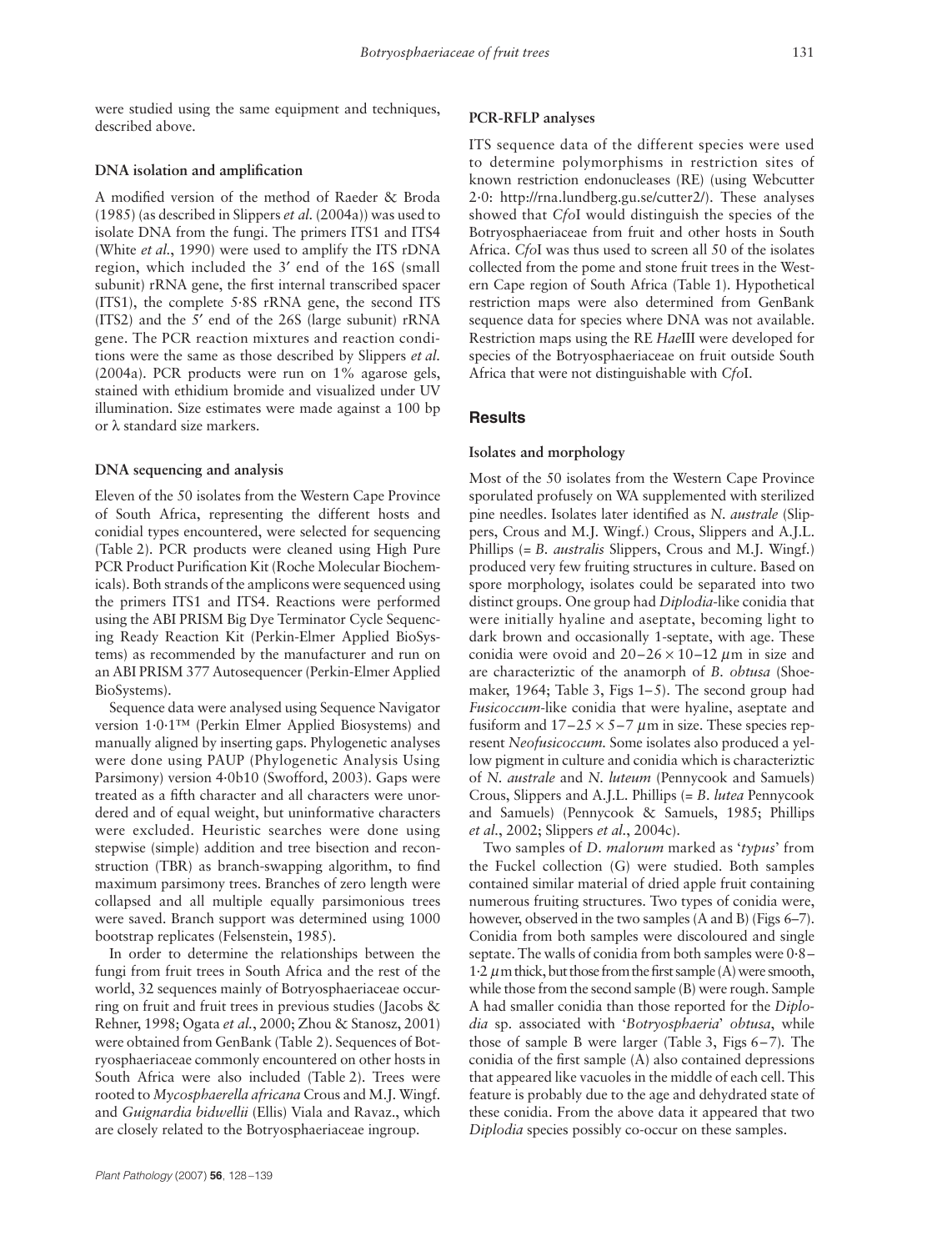were studied using the same equipment and techniques, described above.

# **DNA isolation and amplification**

A modified version of the method of Raeder & Broda (1985) (as described in Slippers *et al.* (2004a)) was used to isolate DNA from the fungi. The primers ITS1 and ITS4 (White *et al.*, 1990) were used to amplify the ITS rDNA region, which included the 3′ end of the 16S (small subunit) rRNA gene, the first internal transcribed spacer (ITS1), the complete 5·8S rRNA gene, the second ITS (ITS2) and the 5′ end of the 26S (large subunit) rRNA gene. The PCR reaction mixtures and reaction conditions were the same as those described by Slippers *et al.* (2004a). PCR products were run on 1% agarose gels, stained with ethidium bromide and visualized under UV illumination. Size estimates were made against a 100 bp or λ standard size markers.

#### **DNA sequencing and analysis**

Eleven of the 50 isolates from the Western Cape Province of South Africa, representing the different hosts and conidial types encountered, were selected for sequencing (Table 2). PCR products were cleaned using High Pure PCR Product Purification Kit (Roche Molecular Biochemicals). Both strands of the amplicons were sequenced using the primers ITS1 and ITS4. Reactions were performed using the ABI PRISM Big Dye Terminator Cycle Sequencing Ready Reaction Kit (Perkin-Elmer Applied BioSystems) as recommended by the manufacturer and run on an ABI PRISM 377 Autosequencer (Perkin-Elmer Applied BioSystems).

Sequence data were analysed using Sequence Navigator version 1·0·1™ (Perkin Elmer Applied Biosystems) and manually aligned by inserting gaps. Phylogenetic analyses were done using PAUP (Phylogenetic Analysis Using Parsimony) version 4·0b10 (Swofford, 2003). Gaps were treated as a fifth character and all characters were unordered and of equal weight, but uninformative characters were excluded. Heuristic searches were done using stepwise (simple) addition and tree bisection and reconstruction (TBR) as branch-swapping algorithm, to find maximum parsimony trees. Branches of zero length were collapsed and all multiple equally parsimonious trees were saved. Branch support was determined using 1000 bootstrap replicates (Felsenstein, 1985).

In order to determine the relationships between the fungi from fruit trees in South Africa and the rest of the world, 32 sequences mainly of Botryosphaeriaceae occurring on fruit and fruit trees in previous studies (Jacobs & Rehner, 1998; Ogata *et al.*, 2000; Zhou & Stanosz, 2001) were obtained from GenBank (Table 2). Sequences of Botryosphaeriaceae commonly encountered on other hosts in South Africa were also included (Table 2). Trees were rooted to *Mycosphaerella africana* Crous and M.J. Wingf. and *Guignardia bidwellii* (Ellis) Viala and Ravaz., which are closely related to the Botryosphaeriaceae ingroup.

# **PCR-RFLP analyses**

ITS sequence data of the different species were used to determine polymorphisms in restriction sites of known restriction endonucleases (RE) (using Webcutter 2·0: [http://rna.lundberg.gu.se/cutter2/\).](http://rna.lundberg.gu.se/cutter2/) These analyses showed that *Cfo*I would distinguish the species of the Botryosphaeriaceae from fruit and other hosts in South Africa. *Cfo*I was thus used to screen all 50 of the isolates collected from the pome and stone fruit trees in the Western Cape region of South Africa (Table 1). Hypothetical restriction maps were also determined from GenBank sequence data for species where DNA was not available. Restriction maps using the RE *Hae*III were developed for species of the Botryosphaeriaceae on fruit outside South Africa that were not distinguishable with *Cfo*I.

## **Results**

### **Isolates and morphology**

Most of the 50 isolates from the Western Cape Province sporulated profusely on WA supplemented with sterilized pine needles. Isolates later identified as *N. australe* (Slippers, Crous and M.J. Wingf.) Crous, Slippers and A.J.L. Phillips (= *B. australis* Slippers, Crous and M.J. Wingf.) produced very few fruiting structures in culture. Based on spore morphology, isolates could be separated into two distinct groups. One group had *Diplodia*-like conidia that were initially hyaline and aseptate, becoming light to dark brown and occasionally 1-septate, with age. These conidia were ovoid and  $20-26 \times 10-12 \mu m$  in size and are characteriztic of the anamorph of *B. obtusa* (Shoemaker, 1964; Table 3, Figs 1–5). The second group had *Fusicoccum*-like conidia that were hyaline, aseptate and fusiform and  $17-25 \times 5-7 \mu$ m in size. These species represent *Neofusicoccum.* Some isolates also produced a yellow pigment in culture and conidia which is characteriztic of *N. australe* and *N. luteum* (Pennycook and Samuels) Crous, Slippers and A.J.L. Phillips (= *B. lutea* Pennycook and Samuels) (Pennycook & Samuels, 1985; Phillips *et al.*, 2002; Slippers *et al.*, 2004c).

Two samples of *D. malorum* marked as '*typus*' from the Fuckel collection (G) were studied. Both samples contained similar material of dried apple fruit containing numerous fruiting structures. Two types of conidia were, however, observed in the two samples (A and B) (Figs 6–7). Conidia from both samples were discoloured and single septate. The walls of conidia from both samples were 0·8–  $1.2 \mu$ m thick, but those from the first sample (A) were smooth, while those from the second sample (B) were rough. Sample A had smaller conidia than those reported for the *Diplodia* sp. associated with '*Botryosphaeria*' *obtusa*, while those of sample B were larger (Table 3, Figs 6–7)*.* The conidia of the first sample (A) also contained depressions that appeared like vacuoles in the middle of each cell. This feature is probably due to the age and dehydrated state of these conidia. From the above data it appeared that two *Diplodia* species possibly co-occur on these samples.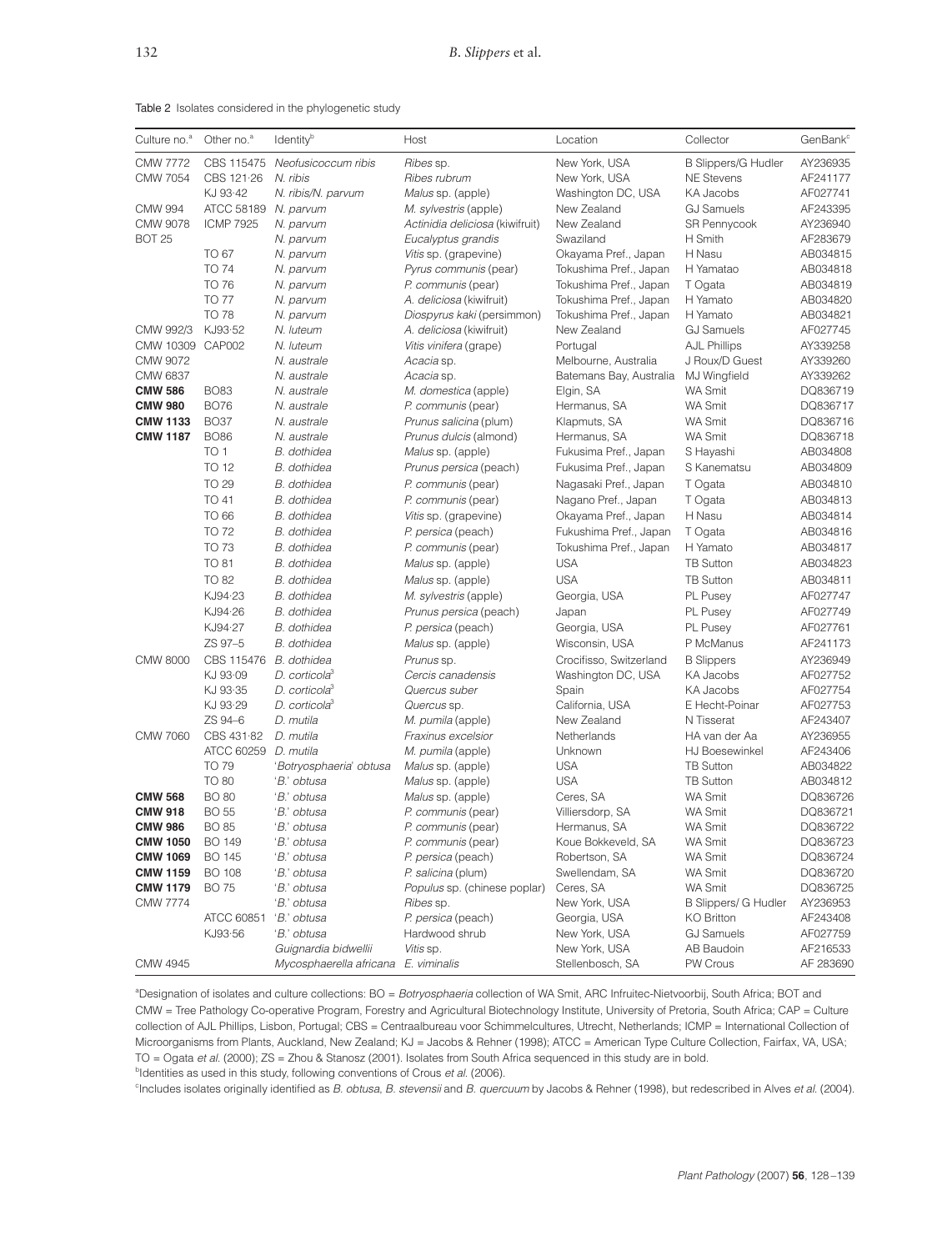|  | Table 2 Isolates considered in the phylogenetic study |
|--|-------------------------------------------------------|
|--|-------------------------------------------------------|

| Culture no. <sup>a</sup>           | Other no. <sup>a</sup>        | Identity <sup>b</sup>      | Host                                     | Location                    | Collector                   | GenBank <sup>c</sup> |
|------------------------------------|-------------------------------|----------------------------|------------------------------------------|-----------------------------|-----------------------------|----------------------|
| <b>CMW 7772</b>                    | CBS 115475                    | Neofusicoccum ribis        | Ribes sp.                                | New York, USA               | <b>B Slippers/G Hudler</b>  | AY236935             |
| CMW 7054                           | CBS 121.26                    | N. ribis                   | Ribes rubrum                             | New York, USA               | <b>NE Stevens</b>           | AF241177             |
|                                    | KJ 93.42                      | N. ribis/N. parvum         | Malus sp. (apple)                        | Washington DC, USA          | KA Jacobs                   | AF027741             |
| <b>CMW 994</b>                     | ATCC 58189                    | N. parvum                  | M. sylvestris (apple)                    | New Zealand                 | <b>GJ</b> Samuels           | AF243395             |
| CMW 9078                           | <b>ICMP 7925</b>              | N. parvum                  | Actinidia deliciosa (kiwifruit)          | New Zealand                 | <b>SR Pennycook</b>         | AY236940             |
| <b>BOT 25</b>                      |                               | N. parvum                  | Eucalyptus grandis                       | Swaziland                   | H Smith                     | AF283679             |
|                                    | TO 67                         | N. parvum                  | Vitis sp. (grapevine)                    | Okayama Pref., Japan        | H Nasu                      | AB034815             |
|                                    | <b>TO 74</b>                  | N. parvum                  | Pyrus communis (pear)                    | Tokushima Pref., Japan      | H Yamatao                   | AB034818             |
|                                    | <b>TO 76</b>                  | N. parvum                  | P. communis (pear)                       | Tokushima Pref., Japan      | T Ogata                     | AB034819             |
|                                    | <b>TO 77</b>                  | N. parvum                  | A. deliciosa (kiwifruit)                 | Tokushima Pref., Japan      | H Yamato                    | AB034820             |
|                                    | <b>TO 78</b>                  | N. parvum                  | Diospyrus kaki (persimmon)               | Tokushima Pref., Japan      | H Yamato                    | AB034821             |
| CMW 992/3                          | KJ93-52                       | N. luteum                  | A. deliciosa (kiwifruit)                 | New Zealand                 | <b>GJ Samuels</b>           | AF027745             |
| CMW 10309 CAP002                   |                               | N. luteum                  | Vitis vinifera (grape)                   | Portugal                    | <b>AJL Phillips</b>         | AY339258             |
| CMW 9072                           |                               | N. australe                | Acacia sp.                               | Melbourne, Australia        | J Roux/D Guest              | AY339260             |
| CMW 6837                           |                               | N. australe                | Acacia sp.                               | Batemans Bay, Australia     | MJ Wingfield                | AY339262             |
| <b>CMW 586</b>                     | <b>BO83</b>                   | N. australe                | M. domestica (apple)                     | Elgin, SA                   | <b>WA Smit</b>              | DQ836719             |
| <b>CMW 980</b>                     | <b>BO76</b>                   | N. australe                | P. communis (pear)                       | Hermanus, SA                | WA Smit                     | DQ836717             |
| <b>CMW 1133</b>                    | <b>BO37</b>                   | N. australe                | Prunus salicina (plum)                   | Klapmuts, SA                | <b>WA Smit</b>              | DQ836716             |
| <b>CMW 1187</b>                    | <b>BO86</b>                   | N. australe                | Prunus dulcis (almond)                   | Hermanus, SA                | <b>WA Smit</b>              | DQ836718             |
|                                    | TO 1                          | B. dothidea                | Malus sp. (apple)                        | Fukusima Pref., Japan       | S Hayashi                   | AB034808             |
|                                    | <b>TO 12</b>                  | B. dothidea                | Prunus persica (peach)                   | Fukusima Pref., Japan       | S Kanematsu                 | AB034809             |
|                                    | TO 29                         | B. dothidea                | P. communis (pear)                       | Nagasaki Pref., Japan       | T Ogata                     | AB034810             |
|                                    | <b>TO 41</b>                  | B. dothidea                | P. communis (pear)                       | Nagano Pref., Japan         | T Ogata                     | AB034813             |
|                                    | TO 66                         | B. dothidea                | Vitis sp. (grapevine)                    | Okayama Pref., Japan        | H Nasu                      | AB034814             |
|                                    | <b>TO 72</b>                  | B. dothidea                | P. persica (peach)                       | Fukushima Pref., Japan      | T Ogata                     | AB034816             |
|                                    | <b>TO 73</b>                  | B. dothidea                | P. communis (pear)                       | Tokushima Pref., Japan      | H Yamato                    | AB034817             |
|                                    | <b>TO 81</b>                  | B. dothidea                | Malus sp. (apple)                        | <b>USA</b>                  | <b>TB Sutton</b>            | AB034823             |
|                                    | <b>TO 82</b>                  | B. dothidea                | Malus sp. (apple)                        | <b>USA</b>                  | <b>TB Sutton</b>            | AB034811             |
|                                    | KJ94.23                       | B. dothidea                | M. sylvestris (apple)                    | Georgia, USA                | PL Pusey                    | AF027747             |
|                                    | KJ94-26                       | B. dothidea                | Prunus persica (peach)                   | Japan                       | PL Pusey                    | AF027749             |
|                                    | KJ94-27                       | B. dothidea                | P. persica (peach)                       | Georgia, USA                | PL Pusey                    | AF027761             |
|                                    | ZS 97-5                       | B. dothidea                | Malus sp. (apple)                        | Wisconsin, USA              | P McManus                   | AF241173             |
| <b>CMW 8000</b>                    | CBS 115476                    | B. dothidea                | Prunus sp.                               | Crocifisso, Switzerland     | <b>B</b> Slippers           | AY236949             |
|                                    | KJ 93.09                      | D. corticola <sup>3</sup>  | Cercis canadensis                        | Washington DC, USA          | KA Jacobs                   | AF027752             |
|                                    | KJ 93-35                      | D. corticola <sup>3</sup>  | Quercus suber                            | Spain                       | KA Jacobs                   | AF027754             |
|                                    | KJ 93.29                      | D. corticola <sup>3</sup>  | Quercus sp.                              | California, USA             | E Hecht-Poinar              | AF027753             |
|                                    | ZS 94-6                       | D. mutila                  | M. pumila (apple)                        | New Zealand                 | N Tisserat                  | AF243407             |
| <b>CMW 7060</b>                    | CBS 431.82                    | D. mutila                  | Fraxinus excelsior                       | Netherlands                 | HA van der Aa               | AY236955             |
|                                    | ATCC 60259                    | D. mutila                  | M. pumila (apple)                        | Unknown                     | <b>HJ Boesewinkel</b>       | AF243406             |
|                                    | <b>TO 79</b>                  | 'Botryosphaeria' obtusa    | Malus sp. (apple)                        | <b>USA</b>                  | <b>TB Sutton</b>            | AB034822             |
|                                    | <b>TO 80</b>                  | 'B.' obtusa                | Malus sp. (apple)                        | <b>USA</b>                  | <b>TB Sutton</b>            | AB034812             |
| <b>CMW 568</b>                     | <b>BO 80</b>                  | 'B.' obtusa                | Malus sp. (apple)                        | Ceres, SA                   | WA Smit                     | DQ836726             |
| <b>CMW 918</b>                     | <b>BO 55</b>                  | 'B.' obtusa                | P. communis (pear)                       | Villiersdorp, SA            | WA Smit                     | DQ836721             |
| <b>CMW 986</b>                     | <b>BO 85</b>                  | 'B.' obtusa                | P. communis (pear)                       | Hermanus, SA                | <b>WA Smit</b>              | DQ836722             |
| <b>CMW 1050</b>                    | <b>BO 149</b>                 | 'B.' obtusa                | P. communis (pear)                       | Koue Bokkeveld, SA          | <b>WA Smit</b>              | DQ836723             |
| <b>CMW 1069</b>                    | <b>BO 145</b>                 | 'B.' obtusa                | P. persica (peach)<br>P. salicina (plum) | Robertson, SA               | WA Smit<br><b>WA Smit</b>   | DQ836724             |
| <b>CMW 1159</b><br><b>CMW 1179</b> | <b>BO 108</b><br><b>BO 75</b> | 'B.' obtusa<br>'B.' obtusa | Populus sp. (chinese poplar)             | Swellendam, SA<br>Ceres, SA | <b>WA Smit</b>              | DQ836720             |
| CMW 7774                           |                               | 'B.' obtusa                | Ribes sp.                                | New York, USA               | <b>B Slippers/ G Hudler</b> | DQ836725<br>AY236953 |
|                                    | ATCC 60851                    | 'B.' obtusa                | P. persica (peach)                       | Georgia, USA                | <b>KO Britton</b>           | AF243408             |
|                                    | KJ93-56                       | 'B.' obtusa                | Hardwood shrub                           | New York, USA               | <b>GJ</b> Samuels           | AF027759             |
|                                    |                               | Guignardia bidwellii       | Vitis sp.                                | New York, USA               | AB Baudoin                  | AF216533             |
| CMW 4945                           |                               | Mycosphaerella africana    | E. viminalis                             | Stellenbosch, SA            | PW Crous                    | AF 283690            |

a Designation of isolates and culture collections: BO = *Botryosphaeria* collection of WA Smit, ARC Infruitec-Nietvoorbij, South Africa; BOT and CMW = Tree Pathology Co-operative Program, Forestry and Agricultural Biotechnology Institute, University of Pretoria, South Africa; CAP = Culture collection of AJL Phillips, Lisbon, Portugal; CBS = Centraalbureau voor Schimmelcultures, Utrecht, Netherlands; ICMP = International Collection of Microorganisms from Plants, Auckland, New Zealand; KJ = Jacobs & Rehner (1998); ATCC = American Type Culture Collection, Fairfax, VA, USA; TO = Ogata *et al*. (2000); ZS = Zhou & Stanosz (2001). Isolates from South Africa sequenced in this study are in bold.

b Identities as used in this study, following conventions of Crous *et al*. (2006).

c Includes isolates originally identified as *B. obtusa*, *B. stevensii* and *B. quercuum* by Jacobs & Rehner (1998), but redescribed in Alves *et al*. (2004).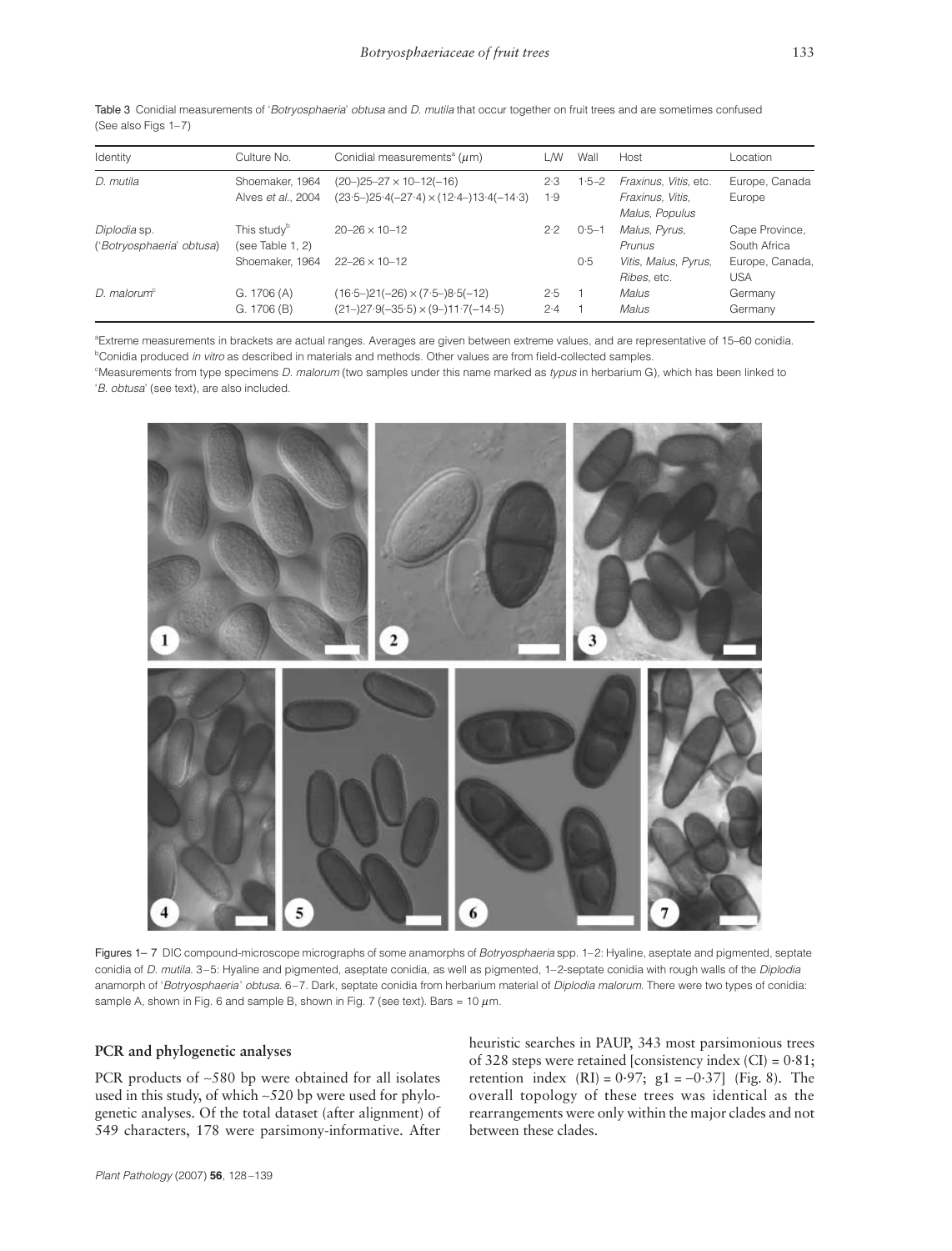Table 3 Conidial measurements of '*Botryosphaeria*' *obtusa* and *D. mutila* that occur together on fruit trees and are sometimes confused (See also Figs 1–7)

| Identity                                 | Culture No.                                 | Conidial measurements <sup>a</sup> $(\mu m)$                                       | ∟/W        | Wall      | Host                                                        | Location                       |
|------------------------------------------|---------------------------------------------|------------------------------------------------------------------------------------|------------|-----------|-------------------------------------------------------------|--------------------------------|
| D. mutila                                | Shoemaker, 1964<br>Alves et al., 2004       | $(20-25-27 \times 10-12(-16))$<br>$(23.5-25.4(-27.4) \times (12.4-13.4(-14.3))$    | 2.3<br>1.9 | $1.5 - 2$ | Fraxinus, Vitis, etc.<br>Fraxinus, Vitis,<br>Malus, Populus | Europe, Canada<br>Europe       |
| Diplodia sp.<br>"Botryosphaeria" obtusa) | This study <sup>b</sup><br>(see Table 1, 2) | $20 - 26 \times 10 - 12$                                                           | 2.2        | $0.5 - 1$ | Malus, Pyrus,<br>Prunus                                     | Cape Province,<br>South Africa |
|                                          | Shoemaker, 1964                             | $22 - 26 \times 10 - 12$                                                           |            | 0.5       | Vitis, Malus, Pyrus,<br>Ribes, etc.                         | Europe, Canada,<br><b>USA</b>  |
| $D.$ malorum $\epsilon$                  | G. 1706(A)<br>G. 1706(B)                    | $(16.5-21(-26) \times (7.5-8.5(-12))$<br>$(21-)27.9(-35.5) \times (9-)11.7(-14.5)$ | 2.5<br>2.4 |           | Malus<br>Malus                                              | Germany<br>Germany             |

a Extreme measurements in brackets are actual ranges. Averages are given between extreme values, and are representative of 15–60 conidia. b Conidia produced *in vitro* as described in materials and methods. Other values are from field-collected samples.

c Measurements from type specimens *D. malorum* (two samples under this name marked as *typus* in herbarium G), which has been linked to '*B. obtusa*' (see text), are also included.



Figures 1– 7 DIC compound-microscope micrographs of some anamorphs of *Botryosphaeria* spp. 1–2: Hyaline, aseptate and pigmented, septate conidia of *D. mutila*. 3–5: Hyaline and pigmented, aseptate conidia, as well as pigmented, 1–2-septate conidia with rough walls of the *Diplodia* anamorph of '*Botryosphaeria*' *obtusa*. 6–7. Dark, septate conidia from herbarium material of *Diplodia malorum*. There were two types of conidia: sample A, shown in Fig. 6 and sample B, shown in Fig. 7 (see text). Bars = 10  $\mu$ m.

# **PCR and phylogenetic analyses**

PCR products of ∼580 bp were obtained for all isolates used in this study, of which ∼520 bp were used for phylogenetic analyses. Of the total dataset (after alignment) of 549 characters, 178 were parsimony-informative. After heuristic searches in PAUP, 343 most parsimonious trees of 328 steps were retained [consistency index (CI) = 0·81; retention index  $(RI) = 0.97$ ;  $g1 = -0.37$ ] (Fig. 8). The overall topology of these trees was identical as the rearrangements were only within the major clades and not between these clades.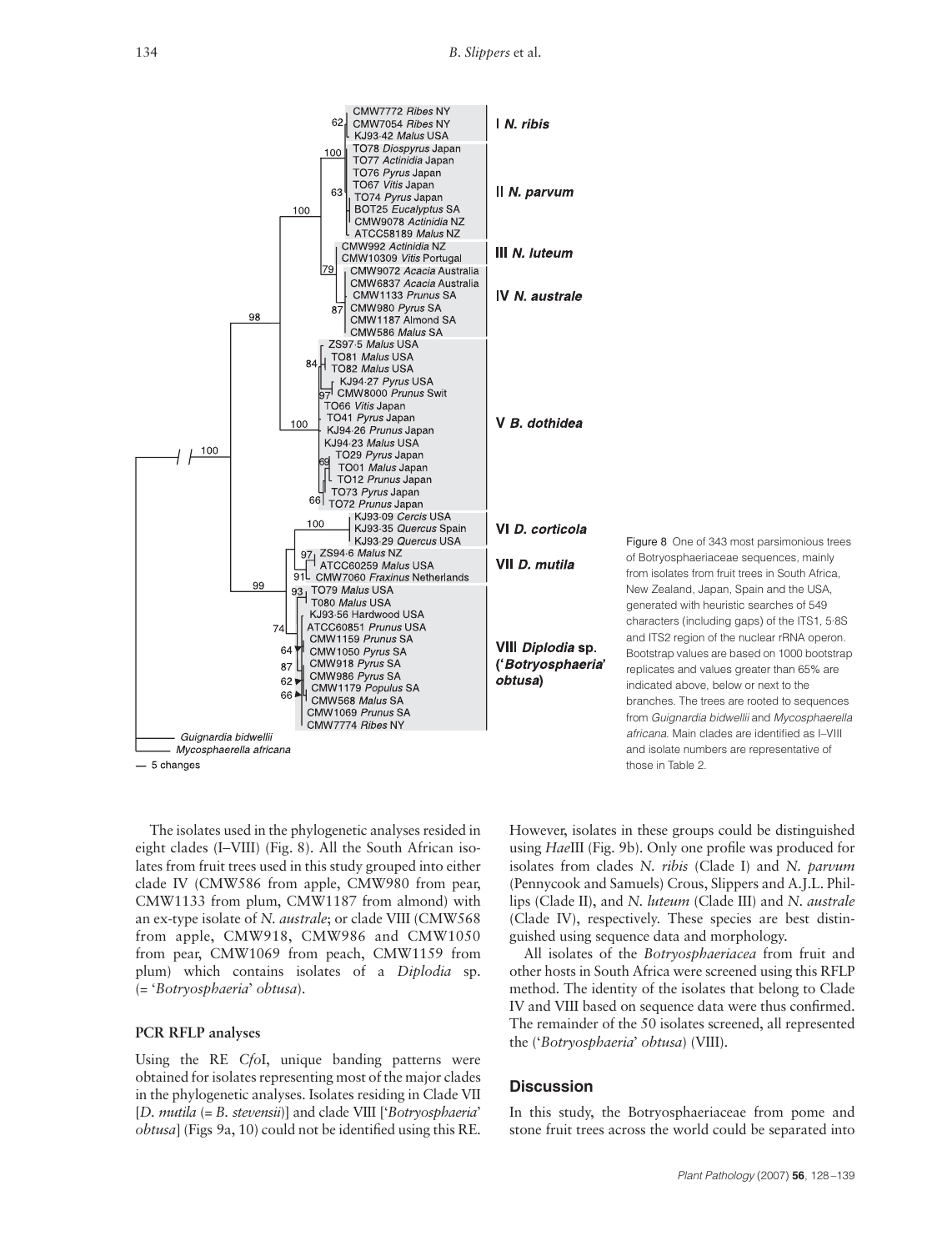

Figure 8 One of 343 most parsimonious trees of Botryosphaeriaceae sequences, mainly from isolates from fruit trees in South Africa, New Zealand, Japan, Spain and the USA, generated with heuristic searches of 549 characters (including gaps) of the ITS1, 5·8S and ITS2 region of the nuclear rRNA operon. Bootstrap values are based on 1000 bootstrap replicates and values greater than 65% are indicated above, below or next to the branches. The trees are rooted to sequences from *Guignardia bidwellii* and *Mycosphaerella africana*. Main clades are identified as I–VIII and isolate numbers are representative of those in Table 2.

The isolates used in the phylogenetic analyses resided in eight clades (I−VIII) (Fig. 8). All the South African isolates from fruit trees used in this study grouped into either clade IV (CMW586 from apple, CMW980 from pear, CMW1133 from plum, CMW1187 from almond) with an ex-type isolate of *N. australe*; or clade VIII (CMW568 from apple, CMW918, CMW986 and CMW1050 from pear, CMW1069 from peach, CMW1159 from plum) which contains isolates of a *Diplodia* sp. (= '*Botryosphaeria*' *obtusa*).

### **PCR RFLP analyses**

Using the RE *Cfo*I, unique banding patterns were obtained for isolates representing most of the major clades in the phylogenetic analyses. Isolates residing in Clade VII [*D. mutila* (= *B. stevensii*)] and clade VIII ['*Botryosphaeria*' *obtusa*] (Figs 9a, 10) could not be identified using this RE. However, isolates in these groups could be distinguished using *Hae*III (Fig. 9b). Only one profile was produced for isolates from clades *N. ribis* (Clade I) and *N. parvum* (Pennycook and Samuels) Crous, Slippers and A.J.L. Phillips (Clade II), and *N. luteum* (Clade III) and *N. australe* (Clade IV), respectively. These species are best distinguished using sequence data and morphology.

All isolates of the *Botryosphaeriacea* from fruit and other hosts in South Africa were screened using this RFLP method. The identity of the isolates that belong to Clade IV and VIII based on sequence data were thus confirmed. The remainder of the 50 isolates screened, all represented the ('*Botryosphaeria*' *obtusa*) (VIII).

# **Discussion**

In this study, the Botryosphaeriaceae from pome and stone fruit trees across the world could be separated into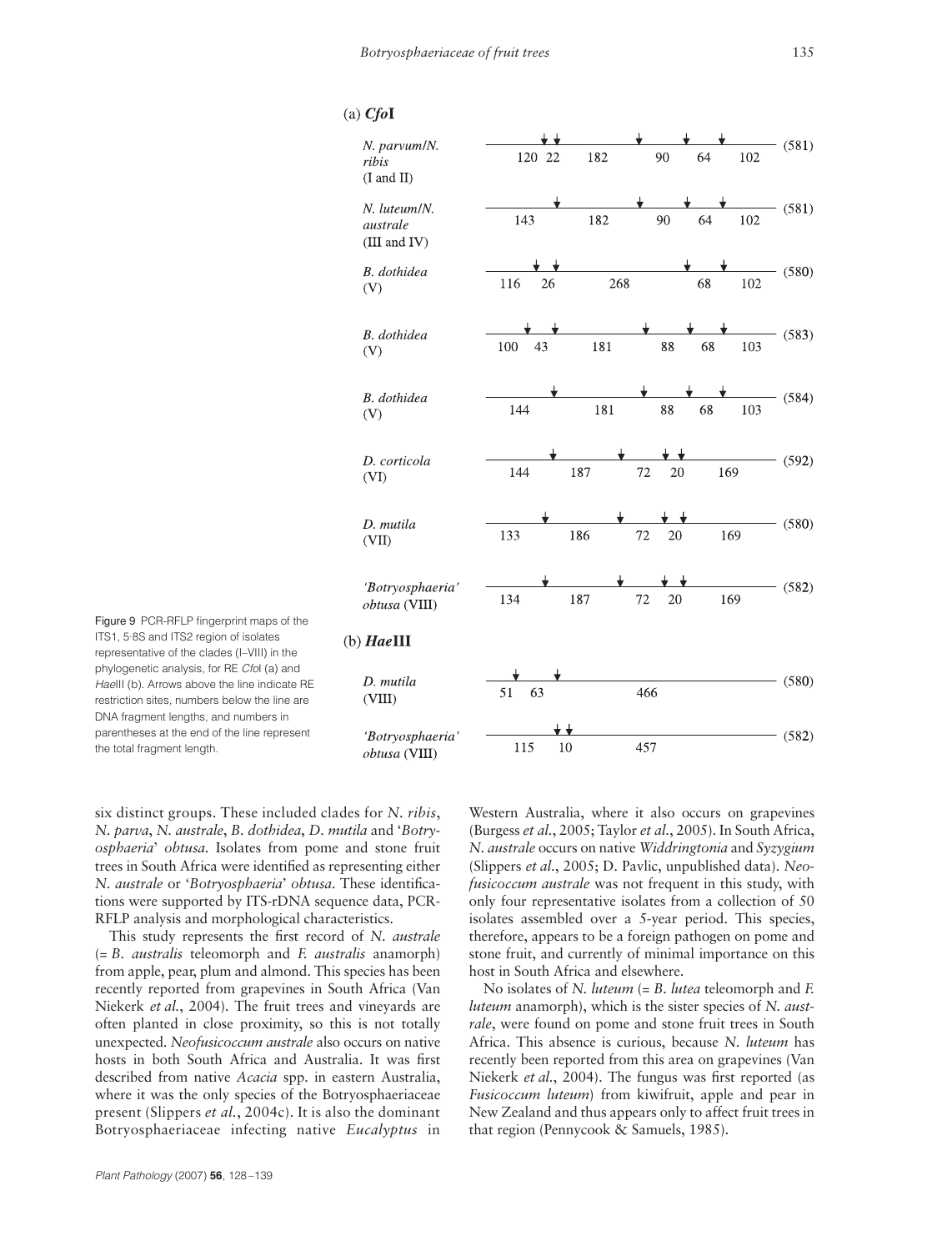(a)  $Cf\mathbf{0}$   $\mathbf{I}$ 



ITS1, 5·8S and ITS2 region of isolates representative of the clades (I–VIII) in the phylogenetic analysis, for RE *Cfo*I (a) and *Hae*III (b). Arrows above the line indicate RE restriction sites, numbers below the line are DNA fragment lengths, and numbers in parentheses at the end of the line represent the total fragment length.

Figure 9 PCR-RFLP fingerprint maps of the

six distinct groups. These included clades for *N. ribis*, *N. parva*, *N. australe*, *B. dothidea*, *D. mutila* and '*Botryosphaeria*' *obtusa.* Isolates from pome and stone fruit trees in South Africa were identified as representing either *N. australe* or '*Botryosphaeria*' *obtusa*. These identifications were supported by ITS-rDNA sequence data, PCR-RFLP analysis and morphological characteristics.

This study represents the first record of *N. australe* (= *B. australis* teleomorph and *F. australis* anamorph) from apple, pear, plum and almond. This species has been recently reported from grapevines in South Africa (Van Niekerk *et al.*, 2004). The fruit trees and vineyards are often planted in close proximity, so this is not totally unexpected. *Neofusicoccum australe* also occurs on native hosts in both South Africa and Australia. It was first described from native *Acacia* spp. in eastern Australia, where it was the only species of the Botryosphaeriaceae present (Slippers *et al.*, 2004c). It is also the dominant Botryosphaeriaceae infecting native *Eucalyptus* in

Western Australia, where it also occurs on grapevines (Burgess *et al.*, 2005; Taylor *et al.*, 2005). In South Africa, *N. australe* occurs on native *Widdringtonia* and *Syzygium* (Slippers *et al.*, 2005; D. Pavlic, unpublished data). *Neofusicoccum australe* was not frequent in this study, with only four representative isolates from a collection of 50 isolates assembled over a 5-year period. This species, therefore, appears to be a foreign pathogen on pome and stone fruit, and currently of minimal importance on this host in South Africa and elsewhere.

No isolates of *N. luteum* (= *B. lutea* teleomorph and *F. luteum* anamorph), which is the sister species of *N. australe*, were found on pome and stone fruit trees in South Africa. This absence is curious, because *N. luteum* has recently been reported from this area on grapevines (Van Niekerk *et al.*, 2004). The fungus was first reported (as *Fusicoccum luteum*) from kiwifruit, apple and pear in New Zealand and thus appears only to affect fruit trees in that region (Pennycook & Samuels, 1985).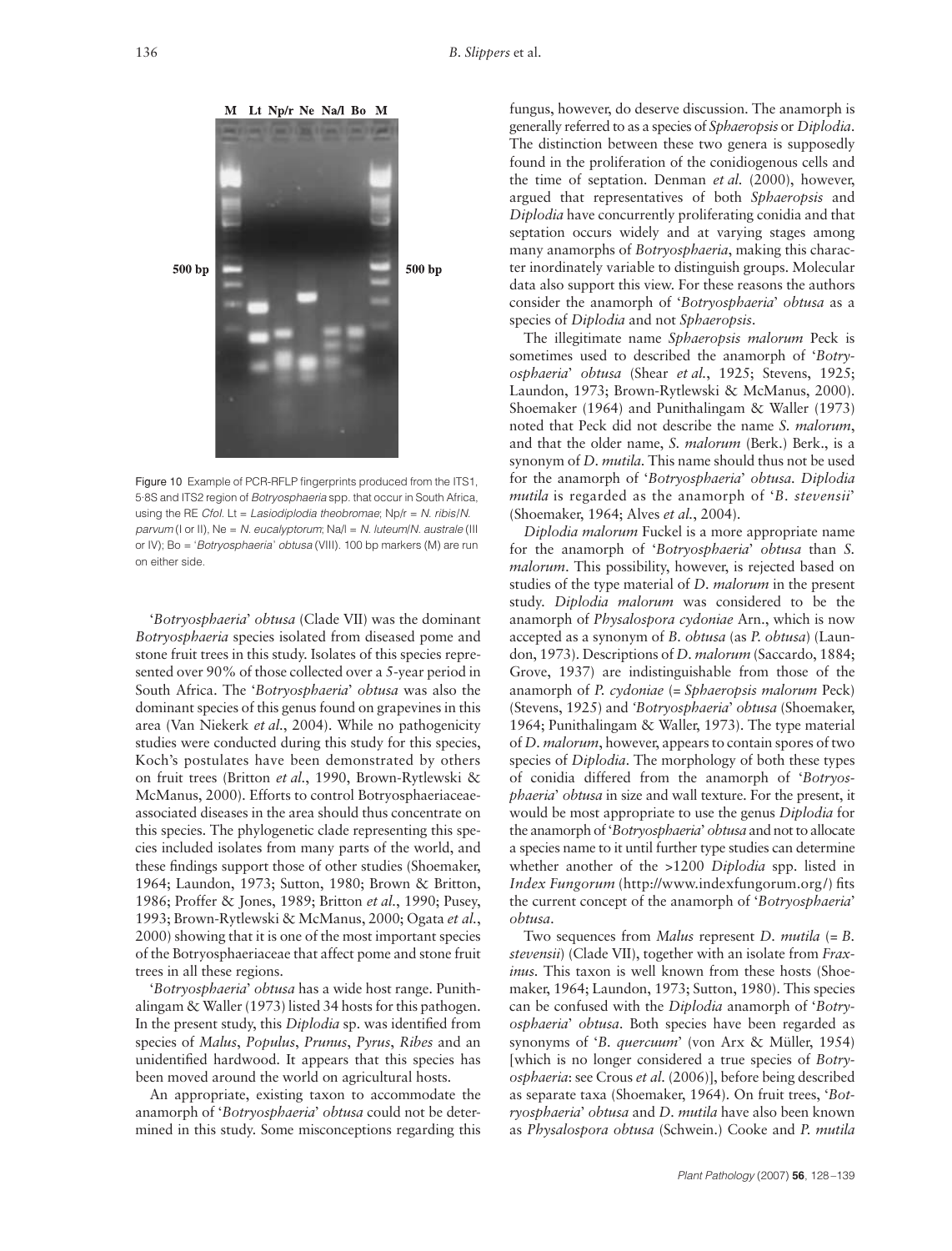

Figure 10 Example of PCR-RFLP fingerprints produced from the ITS1, 5·8S and ITS2 region of *Botryosphaeria* spp. that occur in South Africa, using the RE *CfoI*. Lt = *Lasiodiplodia theobromae*; Np/r = *N. ribis*/*N. parvum* (I or II), Ne = *N. eucalyptorum*; Na/l = *N. luteum*/*N. australe* (III or IV); Bo = '*Botryosphaeria*' *obtusa* (VIII). 100 bp markers (M) are run on either side.

'*Botryosphaeria*' *obtusa* (Clade VII) was the dominant *Botryosphaeria* species isolated from diseased pome and stone fruit trees in this study. Isolates of this species represented over 90% of those collected over a 5-year period in South Africa. The '*Botryosphaeria*' *obtusa* was also the dominant species of this genus found on grapevines in this area (Van Niekerk *et al.*, 2004). While no pathogenicity studies were conducted during this study for this species, Koch's postulates have been demonstrated by others on fruit trees (Britton *et al.*, 1990, Brown-Rytlewski & McManus, 2000). Efforts to control Botryosphaeriaceaeassociated diseases in the area should thus concentrate on this species. The phylogenetic clade representing this species included isolates from many parts of the world, and these findings support those of other studies (Shoemaker, 1964; Laundon, 1973; Sutton, 1980; Brown & Britton, 1986; Proffer & Jones, 1989; Britton *et al.*, 1990; Pusey, 1993; Brown-Rytlewski & McManus, 2000; Ogata *et al.*, 2000) showing that it is one of the most important species of the Botryosphaeriaceae that affect pome and stone fruit trees in all these regions.

'*Botryosphaeria*' *obtusa* has a wide host range. Punithalingam & Waller (1973) listed 34 hosts for this pathogen. In the present study, this *Diplodia* sp. was identified from species of *Malus*, *Populus*, *Prunus*, *Pyrus*, *Ribes* and an unidentified hardwood. It appears that this species has been moved around the world on agricultural hosts.

An appropriate, existing taxon to accommodate the anamorph of '*Botryosphaeria*' *obtusa* could not be determined in this study. Some misconceptions regarding this

fungus, however, do deserve discussion. The anamorph is generally referred to as a species of *Sphaeropsis* or *Diplodia*. The distinction between these two genera is supposedly found in the proliferation of the conidiogenous cells and the time of septation. Denman *et al.* (2000), however, argued that representatives of both *Sphaeropsis* and *Diplodia* have concurrently proliferating conidia and that septation occurs widely and at varying stages among many anamorphs of *Botryosphaeria*, making this character inordinately variable to distinguish groups. Molecular data also support this view. For these reasons the authors consider the anamorph of '*Botryosphaeria*' *obtusa* as a species of *Diplodia* and not *Sphaeropsis*.

The illegitimate name *Sphaeropsis malorum* Peck is sometimes used to described the anamorph of '*Botryosphaeria*' *obtusa* (Shear *et al.*, 1925; Stevens, 1925; Laundon, 1973; Brown-Rytlewski & McManus, 2000). Shoemaker (1964) and Punithalingam & Waller (1973) noted that Peck did not describe the name *S. malorum*, and that the older name, *S. malorum* (Berk.) Berk., is a synonym of *D. mutila.* This name should thus not be used for the anamorph of '*Botryosphaeria*' *obtusa. Diplodia mutila* is regarded as the anamorph of '*B. stevensii*' (Shoemaker, 1964; Alves *et al.*, 2004).

*Diplodia malorum* Fuckel is a more appropriate name for the anamorph of '*Botryosphaeria*' *obtusa* than *S. malorum*. This possibility, however, is rejected based on studies of the type material of *D. malorum* in the present study. *Diplodia malorum* was considered to be the anamorph of *Physalospora cydoniae* Arn., which is now accepted as a synonym of *B. obtusa* (as *P. obtusa*) (Laundon, 1973). Descriptions of *D. malorum* (Saccardo, 1884; Grove, 1937) are indistinguishable from those of the anamorph of *P. cydoniae* (= *Sphaeropsis malorum* Peck) (Stevens, 1925) and *'Botryosphaeria*' *obtusa* (Shoemaker, 1964; Punithalingam & Waller, 1973). The type material of *D. malorum*, however, appears to contain spores of two species of *Diplodia*. The morphology of both these types of conidia differed from the anamorph of '*Botryosphaeria*' *obtusa* in size and wall texture. For the present, it would be most appropriate to use the genus *Diplodia* for the anamorph of '*Botryosphaeria*' *obtusa* and not to allocate a species name to it until further type studies can determine whether another of the >1200 *Diplodia* spp. listed in *Index Fungorum* [\(http://www.indexfungorum.org/\)](http://www.indexfungorum.org/) fits the current concept of the anamorph of '*Botryosphaeria*' *obtusa*.

Two sequences from *Malus* represent *D. mutila* (= *B. stevensii*) (Clade VII), together with an isolate from *Fraxinus.* This taxon is well known from these hosts (Shoemaker, 1964; Laundon, 1973; Sutton, 1980). This species can be confused with the *Diplodia* anamorph of '*Botryosphaeria*' *obtusa*. Both species have been regarded as synonyms of '*B. quercuum*' (von Arx & Müller, 1954) [which is no longer considered a true species of *Botryosphaeria*: see Crous *et al.* (2006)], before being described as separate taxa (Shoemaker, 1964). On fruit trees, '*Botryosphaeria*' *obtusa* and *D. mutila* have also been known as *Physalospora obtusa* (Schwein.) Cooke and *P. mutila*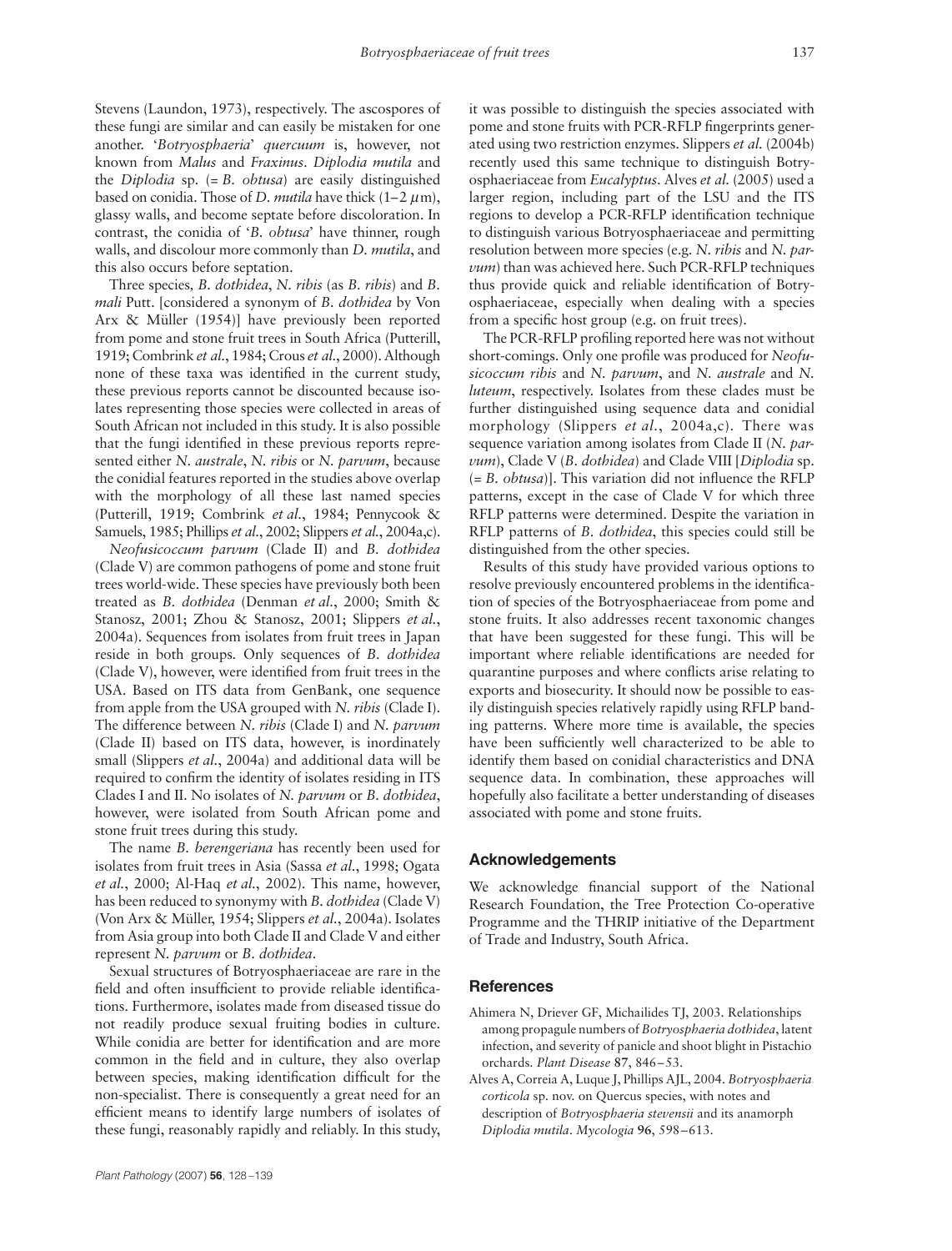Stevens (Laundon, 1973), respectively. The ascospores of these fungi are similar and can easily be mistaken for one another. '*Botryosphaeria*' *quercuum* is, however, not known from *Malus* and *Fraxinus*. *Diplodia mutila* and the *Diplodia* sp. (= *B. obtusa*) are easily distinguished based on conidia. Those of *D. mutila* have thick (1*–*2 µm), glassy walls, and become septate before discoloration. In contrast, the conidia of '*B. obtusa*' have thinner, rough walls, and discolour more commonly than *D. mutila*, and this also occurs before septation.

Three species*, B. dothidea*, *N. ribis* (as *B. ribis*) and *B. mali* Putt. [considered a synonym of *B. dothidea* by Von Arx & Müller (1954)] have previously been reported from pome and stone fruit trees in South Africa (Putterill, 1919; Combrink *et al.*, 1984; Crous *et al.*, 2000). Although none of these taxa was identified in the current study, these previous reports cannot be discounted because isolates representing those species were collected in areas of South African not included in this study. It is also possible that the fungi identified in these previous reports represented either *N. australe*, *N. ribis* or *N. parvum*, because the conidial features reported in the studies above overlap with the morphology of all these last named species (Putterill, 1919; Combrink *et al.*, 1984; Pennycook & Samuels, 1985; Phillips *et al.*, 2002; Slippers *et al.*, 2004a,c).

*Neofusicoccum parvum* (Clade II) and *B. dothidea* (Clade V) are common pathogens of pome and stone fruit trees world-wide. These species have previously both been treated as *B. dothidea* (Denman *et al.*, 2000; Smith & Stanosz, 2001; Zhou & Stanosz, 2001; Slippers *et al.*, 2004a). Sequences from isolates from fruit trees in Japan reside in both groups*.* Only sequences of *B. dothidea* (Clade V), however, were identified from fruit trees in the USA. Based on ITS data from GenBank, one sequence from apple from the USA grouped with *N. ribis* (Clade I). The difference between *N. ribis* (Clade I) and *N. parvum* (Clade II) based on ITS data, however, is inordinately small (Slippers *et al.*, 2004a) and additional data will be required to confirm the identity of isolates residing in ITS Clades I and II. No isolates of *N. parvum* or *B. dothidea*, however, were isolated from South African pome and stone fruit trees during this study.

The name *B. berengeriana* has recently been used for isolates from fruit trees in Asia (Sassa *et al.*, 1998; Ogata *et al.*, 2000; Al-Haq *et al.*, 2002). This name, however, has been reduced to synonymy with *B. dothidea* (Clade V) (Von Arx & Müller, 1954; Slippers *et al.*, 2004a). Isolates from Asia group into both Clade II and Clade V and either represent *N. parvum* or *B. dothidea*.

Sexual structures of Botryosphaeriaceae are rare in the field and often insufficient to provide reliable identifications. Furthermore, isolates made from diseased tissue do not readily produce sexual fruiting bodies in culture. While conidia are better for identification and are more common in the field and in culture, they also overlap between species, making identification difficult for the non-specialist. There is consequently a great need for an efficient means to identify large numbers of isolates of these fungi, reasonably rapidly and reliably. In this study,

it was possible to distinguish the species associated with pome and stone fruits with PCR-RFLP fingerprints generated using two restriction enzymes. Slippers *et al.* (2004b) recently used this same technique to distinguish Botryosphaeriaceae from *Eucalyptus*. Alves *et al.* (2005) used a larger region, including part of the LSU and the ITS regions to develop a PCR-RFLP identification technique to distinguish various Botryosphaeriaceae and permitting resolution between more species (e.g. *N. ribis* and *N. parvum*) than was achieved here. Such PCR-RFLP techniques thus provide quick and reliable identification of Botryosphaeriaceae, especially when dealing with a species from a specific host group (e.g. on fruit trees).

The PCR-RFLP profiling reported here was not without short-comings. Only one profile was produced for *Neofusicoccum ribis* and *N. parvum*, and *N. australe* and *N. luteum*, respectively. Isolates from these clades must be further distinguished using sequence data and conidial morphology (Slippers *et al.*, 2004a,c). There was sequence variation among isolates from Clade II (*N. parvum*), Clade V (*B. dothidea*) and Clade VIII [*Diplodia* sp. (= *B. obtusa*)]. This variation did not influence the RFLP patterns, except in the case of Clade V for which three RFLP patterns were determined. Despite the variation in RFLP patterns of *B. dothidea*, this species could still be distinguished from the other species.

Results of this study have provided various options to resolve previously encountered problems in the identification of species of the Botryosphaeriaceae from pome and stone fruits. It also addresses recent taxonomic changes that have been suggested for these fungi. This will be important where reliable identifications are needed for quarantine purposes and where conflicts arise relating to exports and biosecurity. It should now be possible to easily distinguish species relatively rapidly using RFLP banding patterns. Where more time is available, the species have been sufficiently well characterized to be able to identify them based on conidial characteristics and DNA sequence data. In combination, these approaches will hopefully also facilitate a better understanding of diseases associated with pome and stone fruits.

# **Acknowledgements**

We acknowledge financial support of the National Research Foundation, the Tree Protection Co-operative Programme and the THRIP initiative of the Department of Trade and Industry, South Africa.

#### **References**

- Ahimera N, Driever GF, Michailides TJ, 2003. Relationships among propagule numbers of *Botryosphaeria dothidea*, latent infection, and severity of panicle and shoot blight in Pistachio orchards. *Plant Disease* **87**, 846–53.
- Alves A, Correia A, Luque J, Phillips AJL, 2004. *Botryosphaeria corticola* sp. nov. on Quercus species, with notes and description of *Botryosphaeria stevensii* and its anamorph *Diplodia mutila*. *Mycologia* **96**, 598–613.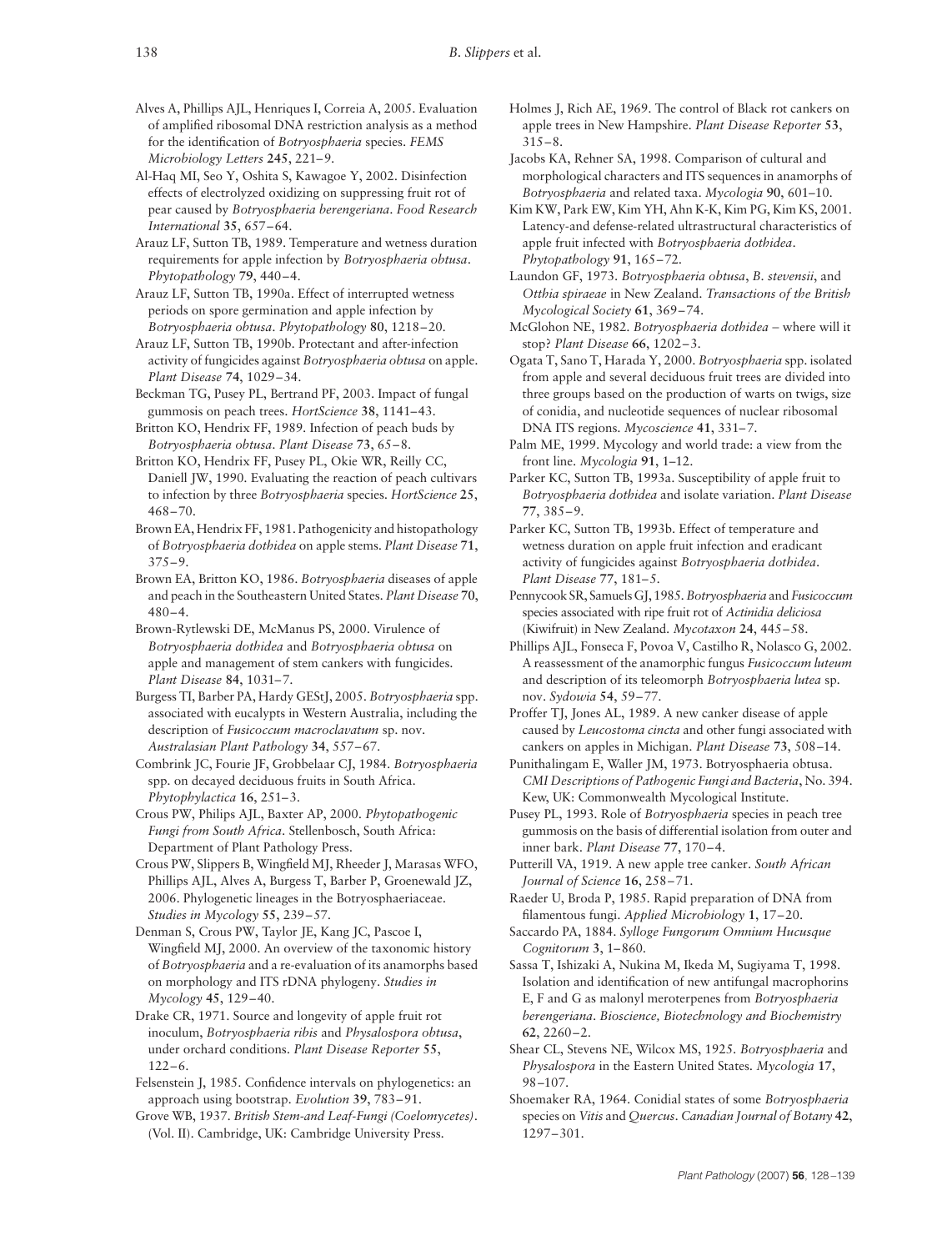- Alves A, Phillips AJL, Henriques I, Correia A, 2005. Evaluation of amplified ribosomal DNA restriction analysis as a method for the identification of *Botryosphaeria* species. *FEMS Microbiology Letters* **245**, 221–9.
- Al-Haq MI, Seo Y, Oshita S, Kawagoe Y, 2002. Disinfection effects of electrolyzed oxidizing on suppressing fruit rot of pear caused by *Botryosphaeria berengeriana*. *Food Research International* **35**, 657–64.
- Arauz LF, Sutton TB, 1989. Temperature and wetness duration requirements for apple infection by *Botryosphaeria obtusa*. *Phytopathology* **79**, 440–4.
- Arauz LF, Sutton TB, 1990a. Effect of interrupted wetness periods on spore germination and apple infection by *Botryosphaeria obtusa*. *Phytopathology* **80**, 1218–20.
- Arauz LF, Sutton TB, 1990b. Protectant and after-infection activity of fungicides against *Botryosphaeria obtusa* on apple. *Plant Disease* **74**, 1029–34.
- Beckman TG, Pusey PL, Bertrand PF, 2003. Impact of fungal gummosis on peach trees. *HortScience* **38**, 1141–43.
- Britton KO, Hendrix FF, 1989. Infection of peach buds by *Botryosphaeria obtusa*. *Plant Disease* **73**, 65–8.
- Britton KO, Hendrix FF, Pusey PL, Okie WR, Reilly CC, Daniell JW, 1990. Evaluating the reaction of peach cultivars to infection by three *Botryosphaeria* species. *HortScience* **25**, 468–70.
- Brown EA, Hendrix FF, 1981. Pathogenicity and histopathology of *Botryosphaeria dothidea* on apple stems. *Plant Disease* **71**, 375–9.
- Brown EA, Britton KO, 1986. *Botryosphaeria* diseases of apple and peach in the Southeastern United States. *Plant Disease* **70**, 480–4.
- Brown-Rytlewski DE, McManus PS, 2000. Virulence of *Botryosphaeria dothidea* and *Botryosphaeria obtusa* on apple and management of stem cankers with fungicides. *Plant Disease* **84**, 1031–7.
- Burgess TI, Barber PA, Hardy GEStJ, 2005. *Botryosphaeria* spp. associated with eucalypts in Western Australia, including the description of *Fusicoccum macroclavatum* sp. nov. *Australasian Plant Pathology* **34**, 557–67.
- Combrink JC, Fourie JF, Grobbelaar CJ, 1984. *Botryosphaeria* spp. on decayed deciduous fruits in South Africa. *Phytophylactica* **16**, 251–3.
- Crous PW, Philips AJL, Baxter AP, 2000. *Phytopathogenic Fungi from South Africa*. Stellenbosch, South Africa: Department of Plant Pathology Press.
- Crous PW, Slippers B, Wingfield MJ, Rheeder J, Marasas WFO, Phillips AJL, Alves A, Burgess T, Barber P, Groenewald JZ, 2006. Phylogenetic lineages in the Botryosphaeriaceae. *Studies in Mycology* **55**, 239–57.
- Denman S, Crous PW, Taylor JE, Kang JC, Pascoe I, Wingfield MJ, 2000. An overview of the taxonomic history of *Botryosphaeria* and a re-evaluation of its anamorphs based on morphology and ITS rDNA phylogeny. *Studies in Mycology* **45**, 129–40.
- Drake CR, 1971. Source and longevity of apple fruit rot inoculum, *Botryosphaeria ribis* and *Physalospora obtusa*, under orchard conditions. *Plant Disease Reporter* **55**,  $122 - 6.$
- Felsenstein J, 1985. Confidence intervals on phylogenetics: an approach using bootstrap. *Evolution* **39**, 783–91.
- Grove WB, 1937. *British Stem-and Leaf-Fungi (Coelomycetes)*. (Vol. II). Cambridge, UK: Cambridge University Press.
- Holmes J, Rich AE, 1969. The control of Black rot cankers on apple trees in New Hampshire. *Plant Disease Reporter* **53**, 315–8.
- Jacobs KA, Rehner SA, 1998. Comparison of cultural and morphological characters and ITS sequences in anamorphs of *Botryosphaeria* and related taxa. *Mycologia* **90**, 601–10.
- Kim KW, Park EW, Kim YH, Ahn K-K, Kim PG, Kim KS, 2001. Latency-and defense-related ultrastructural characteristics of apple fruit infected with *Botryosphaeria dothidea*. *Phytopathology* **91**, 165–72.
- Laundon GF, 1973. *Botryosphaeria obtusa*, *B. stevensii*, and *Otthia spiraeae* in New Zealand. *Transactions of the British Mycological Society* **61**, 369–74.
- McGlohon NE, 1982. *Botryosphaeria dothidea* − where will it stop? *Plant Disease* **66**, 1202–3.
- Ogata T, Sano T, Harada Y, 2000. *Botryosphaeria* spp. isolated from apple and several deciduous fruit trees are divided into three groups based on the production of warts on twigs, size of conidia, and nucleotide sequences of nuclear ribosomal DNA ITS regions. *Mycoscience* **41**, 331–7.
- Palm ME, 1999. Mycology and world trade: a view from the front line. *Mycologia* **91**, 1–12.
- Parker KC, Sutton TB, 1993a. Susceptibility of apple fruit to *Botryosphaeria dothidea* and isolate variation. *Plant Disease* **77**, 385–9.
- Parker KC, Sutton TB, 1993b. Effect of temperature and wetness duration on apple fruit infection and eradicant activity of fungicides against *Botryosphaeria dothidea*. *Plant Disease* **77**, 181–5.
- Pennycook SR, Samuels GJ, 1985. *Botryosphaeria* and *Fusicoccum* species associated with ripe fruit rot of *Actinidia deliciosa* (Kiwifruit) in New Zealand. *Mycotaxon* **24**, 445–58.
- Phillips AJL, Fonseca F, Povoa V, Castilho R, Nolasco G, 2002. A reassessment of the anamorphic fungus *Fusicoccum luteum*  and description of its teleomorph *Botryosphaeria lutea* sp. nov. *Sydowia* **54**, 59–77.
- Proffer TJ, Jones AL, 1989. A new canker disease of apple caused by *Leucostoma cincta* and other fungi associated with cankers on apples in Michigan. *Plant Disease* **73**, 508–14.
- Punithalingam E, Waller JM, 1973. Botryosphaeria obtusa. *CMI Descriptions of Pathogenic Fungi and Bacteria*, No. 394. Kew, UK: Commonwealth Mycological Institute.
- Pusey PL, 1993. Role of *Botryosphaeria* species in peach tree gummosis on the basis of differential isolation from outer and inner bark. *Plant Disease* **77**, 170–4.
- Putterill VA, 1919. A new apple tree canker. *South African Journal of Science* **16**, 258–71.
- Raeder U, Broda P, 1985. Rapid preparation of DNA from filamentous fungi. *Applied Microbiology* **1**, 17–20.
- Saccardo PA, 1884. *Sylloge Fungorum Omnium Hucusque Cognitorum* **3**, 1–860.
- Sassa T, Ishizaki A, Nukina M, Ikeda M, Sugiyama T, 1998. Isolation and identification of new antifungal macrophorins E, F and G as malonyl meroterpenes from *Botryosphaeria berengeriana*. *Bioscience, Biotechnology and Biochemistry* **62**, 2260–2.
- Shear CL, Stevens NE, Wilcox MS, 1925. *Botryosphaeria* and *Physalospora* in the Eastern United States. *Mycologia* **17**, 98–107.
- Shoemaker RA, 1964. Conidial states of some *Botryosphaeria* species on *Vitis* and *Quercus*. *Canadian Journal of Botany* **42**, 1297–301.